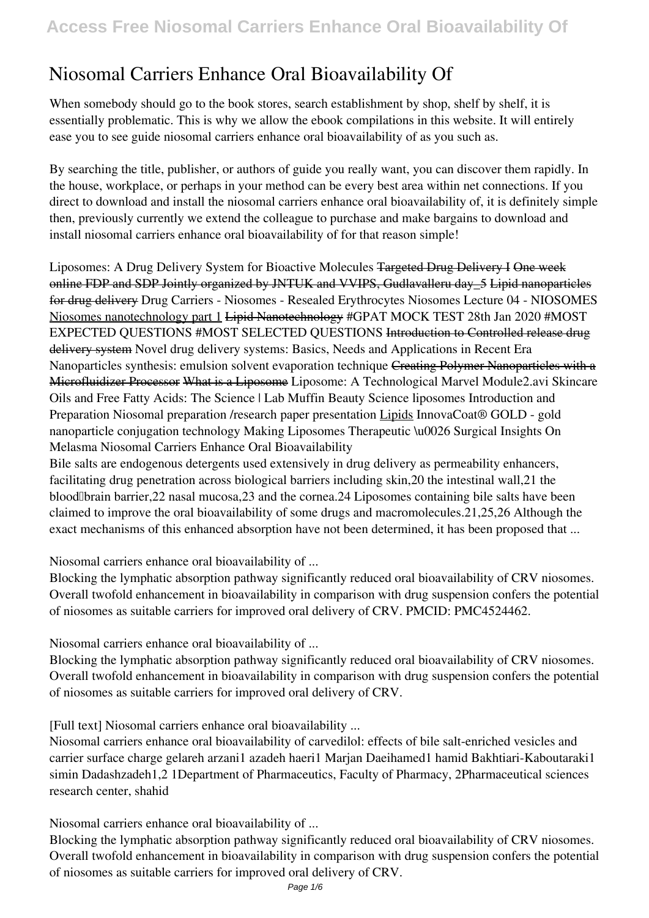# **Niosomal Carriers Enhance Oral Bioavailability Of**

When somebody should go to the book stores, search establishment by shop, shelf by shelf, it is essentially problematic. This is why we allow the ebook compilations in this website. It will entirely ease you to see guide **niosomal carriers enhance oral bioavailability of** as you such as.

By searching the title, publisher, or authors of guide you really want, you can discover them rapidly. In the house, workplace, or perhaps in your method can be every best area within net connections. If you direct to download and install the niosomal carriers enhance oral bioavailability of, it is definitely simple then, previously currently we extend the colleague to purchase and make bargains to download and install niosomal carriers enhance oral bioavailability of for that reason simple!

Liposomes: A Drug Delivery System for Bioactive Molecules Targeted Drug Delivery I One week online FDP and SDP Jointly organized by JNTUK and VVIPS, Gudlavalleru day\_5 Lipid nanoparticles for drug delivery Drug Carriers - Niosomes - Resealed Erythrocytes **Niosomes** *Lecture 04 - NIOSOMES* Niosomes nanotechnology part 1 Lipid Nanotechnology #GPAT MOCK TEST 28th Jan 2020 #MOST EXPECTED QUESTIONS #MOST SELECTED QUESTIONS Introduction to Controlled release drug delivery system *Novel drug delivery systems: Basics, Needs and Applications in Recent Era Nanoparticles synthesis: emulsion solvent evaporation technique* Creating Polymer Nanoparticles with a Microfluidizer Processor What is a Liposome **Liposome: A Technological Marvel Module2.avi Skincare Oils and Free Fatty Acids: The Science | Lab Muffin Beauty Science** *liposomes Introduction and Preparation Niosomal preparation /research paper presentation* Lipids *InnovaCoat® GOLD - gold nanoparticle conjugation technology* **Making Liposomes Therapeutic \u0026 Surgical Insights On Melasma** Niosomal Carriers Enhance Oral Bioavailability

Bile salts are endogenous detergents used extensively in drug delivery as permeability enhancers, facilitating drug penetration across biological barriers including skin,20 the intestinal wall,21 the blood–brain barrier,22 nasal mucosa,23 and the cornea.24 Liposomes containing bile salts have been claimed to improve the oral bioavailability of some drugs and macromolecules.21,25,26 Although the exact mechanisms of this enhanced absorption have not been determined, it has been proposed that ...

Niosomal carriers enhance oral bioavailability of ...

Blocking the lymphatic absorption pathway significantly reduced oral bioavailability of CRV niosomes. Overall twofold enhancement in bioavailability in comparison with drug suspension confers the potential of niosomes as suitable carriers for improved oral delivery of CRV. PMCID: PMC4524462.

Niosomal carriers enhance oral bioavailability of ...

Blocking the lymphatic absorption pathway significantly reduced oral bioavailability of CRV niosomes. Overall twofold enhancement in bioavailability in comparison with drug suspension confers the potential of niosomes as suitable carriers for improved oral delivery of CRV.

[Full text] Niosomal carriers enhance oral bioavailability ...

Niosomal carriers enhance oral bioavailability of carvedilol: effects of bile salt-enriched vesicles and carrier surface charge gelareh arzani1 azadeh haeri1 Marjan Daeihamed1 hamid Bakhtiari-Kaboutaraki1 simin Dadashzadeh1,2 1Department of Pharmaceutics, Faculty of Pharmacy, 2Pharmaceutical sciences research center, shahid

Niosomal carriers enhance oral bioavailability of ...

Blocking the lymphatic absorption pathway significantly reduced oral bioavailability of CRV niosomes. Overall twofold enhancement in bioavailability in comparison with drug suspension confers the potential of niosomes as suitable carriers for improved oral delivery of CRV.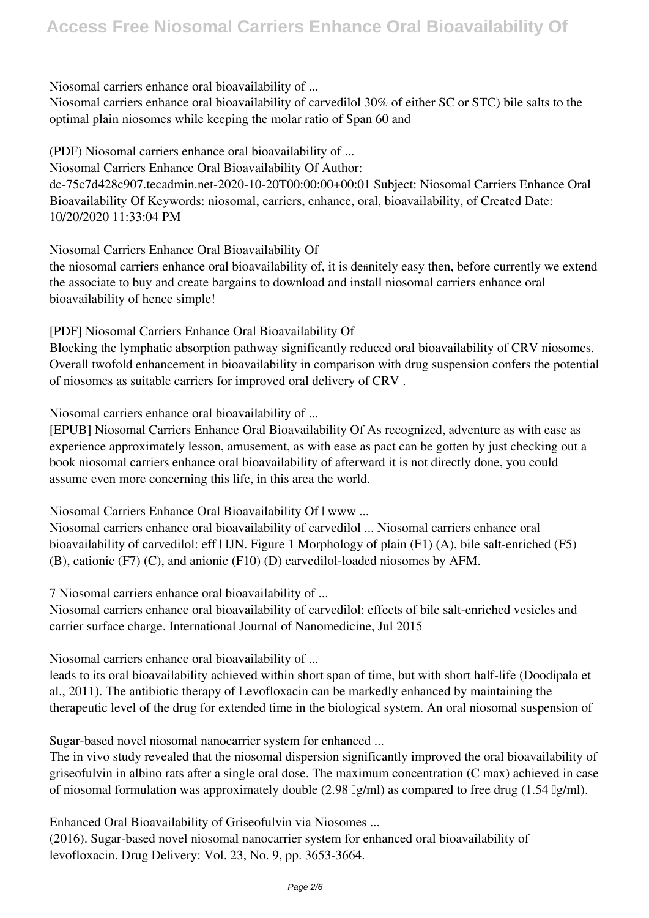Niosomal carriers enhance oral bioavailability of ...

Niosomal carriers enhance oral bioavailability of carvedilol 30% of either SC or STC) bile salts to the optimal plain niosomes while keeping the molar ratio of Span 60 and

(PDF) Niosomal carriers enhance oral bioavailability of ... Niosomal Carriers Enhance Oral Bioavailability Of Author: dc-75c7d428c907.tecadmin.net-2020-10-20T00:00:00+00:01 Subject: Niosomal Carriers Enhance Oral Bioavailability Of Keywords: niosomal, carriers, enhance, oral, bioavailability, of Created Date: 10/20/2020 11:33:04 PM

Niosomal Carriers Enhance Oral Bioavailability Of

the niosomal carriers enhance oral bioavailability of, it is definitely easy then, before currently we extend the associate to buy and create bargains to download and install niosomal carriers enhance oral bioavailability of hence simple!

[PDF] Niosomal Carriers Enhance Oral Bioavailability Of

Blocking the lymphatic absorption pathway significantly reduced oral bioavailability of CRV niosomes. Overall twofold enhancement in bioavailability in comparison with drug suspension confers the potential of niosomes as suitable carriers for improved oral delivery of CRV .

Niosomal carriers enhance oral bioavailability of ...

[EPUB] Niosomal Carriers Enhance Oral Bioavailability Of As recognized, adventure as with ease as experience approximately lesson, amusement, as with ease as pact can be gotten by just checking out a book niosomal carriers enhance oral bioavailability of afterward it is not directly done, you could assume even more concerning this life, in this area the world.

Niosomal Carriers Enhance Oral Bioavailability Of | www ...

Niosomal carriers enhance oral bioavailability of carvedilol ... Niosomal carriers enhance oral bioavailability of carvedilol: eff | IJN. Figure 1 Morphology of plain (F1) (A), bile salt-enriched (F5) (B), cationic (F7) (C), and anionic (F10) (D) carvedilol-loaded niosomes by AFM.

7 Niosomal carriers enhance oral bioavailability of ...

Niosomal carriers enhance oral bioavailability of carvedilol: effects of bile salt-enriched vesicles and carrier surface charge. International Journal of Nanomedicine, Jul 2015

Niosomal carriers enhance oral bioavailability of ...

leads to its oral bioavailability achieved within short span of time, but with short half-life (Doodipala et al., 2011). The antibiotic therapy of Levofloxacin can be markedly enhanced by maintaining the therapeutic level of the drug for extended time in the biological system. An oral niosomal suspension of

Sugar-based novel niosomal nanocarrier system for enhanced ...

The in vivo study revealed that the niosomal dispersion significantly improved the oral bioavailability of griseofulvin in albino rats after a single oral dose. The maximum concentration (C max) achieved in case of niosomal formulation was approximately double (2.98 μg/ml) as compared to free drug (1.54 μg/ml).

Enhanced Oral Bioavailability of Griseofulvin via Niosomes ...

(2016). Sugar-based novel niosomal nanocarrier system for enhanced oral bioavailability of levofloxacin. Drug Delivery: Vol. 23, No. 9, pp. 3653-3664.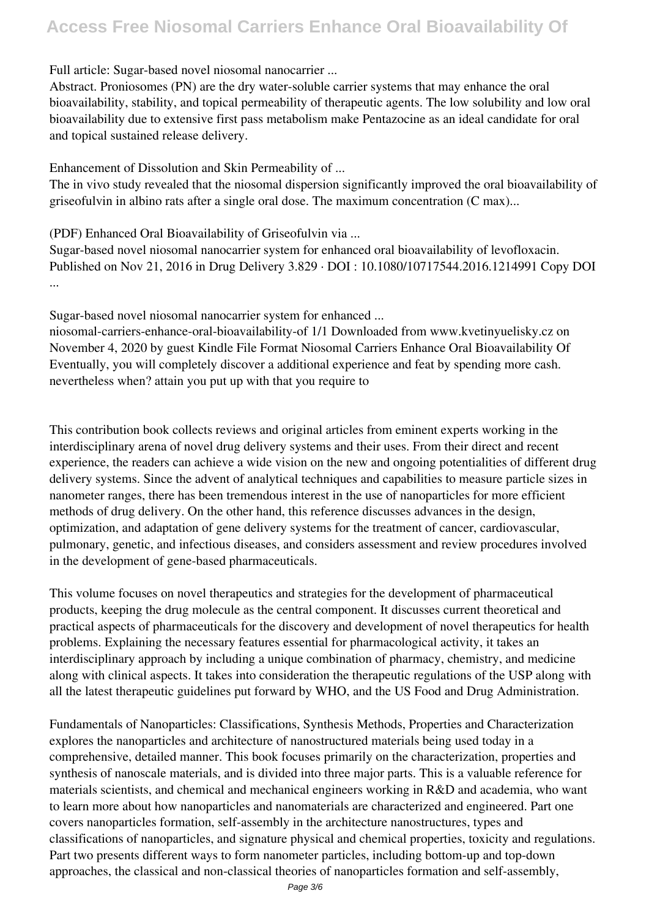## **Access Free Niosomal Carriers Enhance Oral Bioavailability Of**

#### Full article: Sugar-based novel niosomal nanocarrier ...

Abstract. Proniosomes (PN) are the dry water-soluble carrier systems that may enhance the oral bioavailability, stability, and topical permeability of therapeutic agents. The low solubility and low oral bioavailability due to extensive first pass metabolism make Pentazocine as an ideal candidate for oral and topical sustained release delivery.

Enhancement of Dissolution and Skin Permeability of ...

The in vivo study revealed that the niosomal dispersion significantly improved the oral bioavailability of griseofulvin in albino rats after a single oral dose. The maximum concentration (C max)...

(PDF) Enhanced Oral Bioavailability of Griseofulvin via ...

Sugar-based novel niosomal nanocarrier system for enhanced oral bioavailability of levofloxacin. Published on Nov 21, 2016 in Drug Delivery 3.829 · DOI : 10.1080/10717544.2016.1214991 Copy DOI ...

Sugar-based novel niosomal nanocarrier system for enhanced ...

niosomal-carriers-enhance-oral-bioavailability-of 1/1 Downloaded from www.kvetinyuelisky.cz on November 4, 2020 by guest Kindle File Format Niosomal Carriers Enhance Oral Bioavailability Of Eventually, you will completely discover a additional experience and feat by spending more cash. nevertheless when? attain you put up with that you require to

This contribution book collects reviews and original articles from eminent experts working in the interdisciplinary arena of novel drug delivery systems and their uses. From their direct and recent experience, the readers can achieve a wide vision on the new and ongoing potentialities of different drug delivery systems. Since the advent of analytical techniques and capabilities to measure particle sizes in nanometer ranges, there has been tremendous interest in the use of nanoparticles for more efficient methods of drug delivery. On the other hand, this reference discusses advances in the design, optimization, and adaptation of gene delivery systems for the treatment of cancer, cardiovascular, pulmonary, genetic, and infectious diseases, and considers assessment and review procedures involved in the development of gene-based pharmaceuticals.

This volume focuses on novel therapeutics and strategies for the development of pharmaceutical products, keeping the drug molecule as the central component. It discusses current theoretical and practical aspects of pharmaceuticals for the discovery and development of novel therapeutics for health problems. Explaining the necessary features essential for pharmacological activity, it takes an interdisciplinary approach by including a unique combination of pharmacy, chemistry, and medicine along with clinical aspects. It takes into consideration the therapeutic regulations of the USP along with all the latest therapeutic guidelines put forward by WHO, and the US Food and Drug Administration.

Fundamentals of Nanoparticles: Classifications, Synthesis Methods, Properties and Characterization explores the nanoparticles and architecture of nanostructured materials being used today in a comprehensive, detailed manner. This book focuses primarily on the characterization, properties and synthesis of nanoscale materials, and is divided into three major parts. This is a valuable reference for materials scientists, and chemical and mechanical engineers working in R&D and academia, who want to learn more about how nanoparticles and nanomaterials are characterized and engineered. Part one covers nanoparticles formation, self-assembly in the architecture nanostructures, types and classifications of nanoparticles, and signature physical and chemical properties, toxicity and regulations. Part two presents different ways to form nanometer particles, including bottom-up and top-down approaches, the classical and non-classical theories of nanoparticles formation and self-assembly,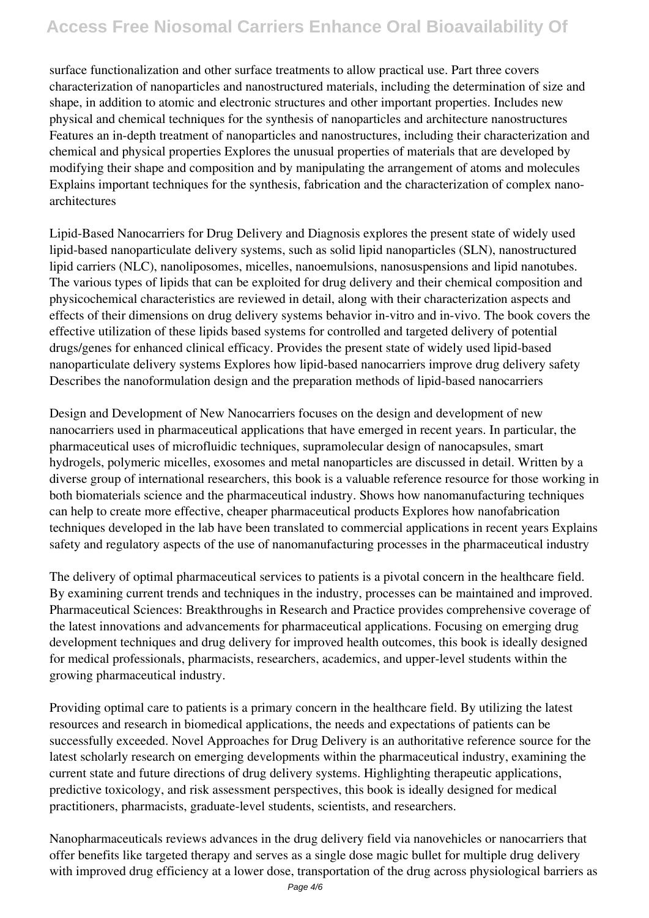## **Access Free Niosomal Carriers Enhance Oral Bioavailability Of**

surface functionalization and other surface treatments to allow practical use. Part three covers characterization of nanoparticles and nanostructured materials, including the determination of size and shape, in addition to atomic and electronic structures and other important properties. Includes new physical and chemical techniques for the synthesis of nanoparticles and architecture nanostructures Features an in-depth treatment of nanoparticles and nanostructures, including their characterization and chemical and physical properties Explores the unusual properties of materials that are developed by modifying their shape and composition and by manipulating the arrangement of atoms and molecules Explains important techniques for the synthesis, fabrication and the characterization of complex nanoarchitectures

Lipid-Based Nanocarriers for Drug Delivery and Diagnosis explores the present state of widely used lipid-based nanoparticulate delivery systems, such as solid lipid nanoparticles (SLN), nanostructured lipid carriers (NLC), nanoliposomes, micelles, nanoemulsions, nanosuspensions and lipid nanotubes. The various types of lipids that can be exploited for drug delivery and their chemical composition and physicochemical characteristics are reviewed in detail, along with their characterization aspects and effects of their dimensions on drug delivery systems behavior in-vitro and in-vivo. The book covers the effective utilization of these lipids based systems for controlled and targeted delivery of potential drugs/genes for enhanced clinical efficacy. Provides the present state of widely used lipid-based nanoparticulate delivery systems Explores how lipid-based nanocarriers improve drug delivery safety Describes the nanoformulation design and the preparation methods of lipid-based nanocarriers

Design and Development of New Nanocarriers focuses on the design and development of new nanocarriers used in pharmaceutical applications that have emerged in recent years. In particular, the pharmaceutical uses of microfluidic techniques, supramolecular design of nanocapsules, smart hydrogels, polymeric micelles, exosomes and metal nanoparticles are discussed in detail. Written by a diverse group of international researchers, this book is a valuable reference resource for those working in both biomaterials science and the pharmaceutical industry. Shows how nanomanufacturing techniques can help to create more effective, cheaper pharmaceutical products Explores how nanofabrication techniques developed in the lab have been translated to commercial applications in recent years Explains safety and regulatory aspects of the use of nanomanufacturing processes in the pharmaceutical industry

The delivery of optimal pharmaceutical services to patients is a pivotal concern in the healthcare field. By examining current trends and techniques in the industry, processes can be maintained and improved. Pharmaceutical Sciences: Breakthroughs in Research and Practice provides comprehensive coverage of the latest innovations and advancements for pharmaceutical applications. Focusing on emerging drug development techniques and drug delivery for improved health outcomes, this book is ideally designed for medical professionals, pharmacists, researchers, academics, and upper-level students within the growing pharmaceutical industry.

Providing optimal care to patients is a primary concern in the healthcare field. By utilizing the latest resources and research in biomedical applications, the needs and expectations of patients can be successfully exceeded. Novel Approaches for Drug Delivery is an authoritative reference source for the latest scholarly research on emerging developments within the pharmaceutical industry, examining the current state and future directions of drug delivery systems. Highlighting therapeutic applications, predictive toxicology, and risk assessment perspectives, this book is ideally designed for medical practitioners, pharmacists, graduate-level students, scientists, and researchers.

Nanopharmaceuticals reviews advances in the drug delivery field via nanovehicles or nanocarriers that offer benefits like targeted therapy and serves as a single dose magic bullet for multiple drug delivery with improved drug efficiency at a lower dose, transportation of the drug across physiological barriers as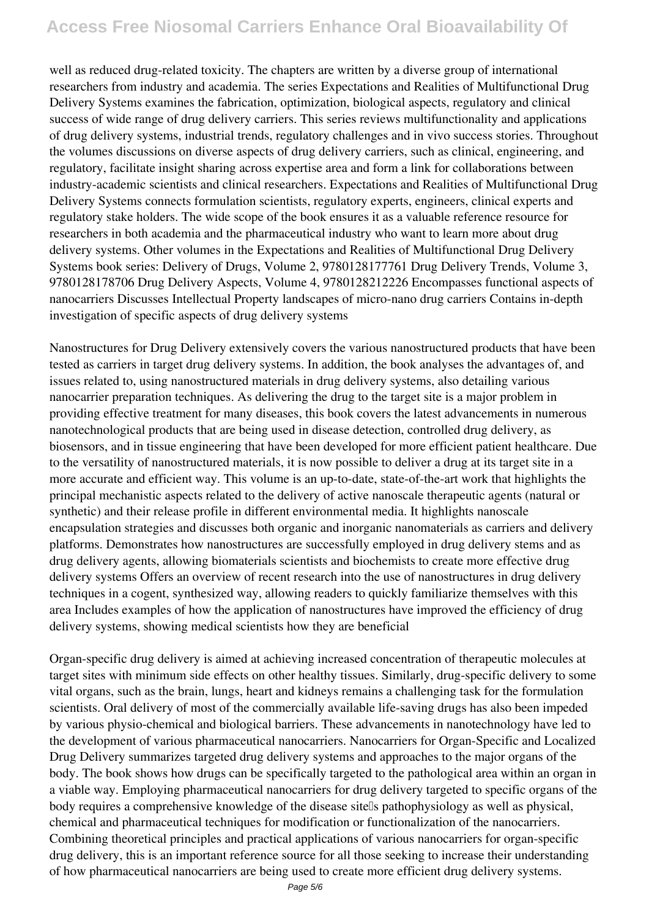### **Access Free Niosomal Carriers Enhance Oral Bioavailability Of**

well as reduced drug-related toxicity. The chapters are written by a diverse group of international researchers from industry and academia. The series Expectations and Realities of Multifunctional Drug Delivery Systems examines the fabrication, optimization, biological aspects, regulatory and clinical success of wide range of drug delivery carriers. This series reviews multifunctionality and applications of drug delivery systems, industrial trends, regulatory challenges and in vivo success stories. Throughout the volumes discussions on diverse aspects of drug delivery carriers, such as clinical, engineering, and regulatory, facilitate insight sharing across expertise area and form a link for collaborations between industry-academic scientists and clinical researchers. Expectations and Realities of Multifunctional Drug Delivery Systems connects formulation scientists, regulatory experts, engineers, clinical experts and regulatory stake holders. The wide scope of the book ensures it as a valuable reference resource for researchers in both academia and the pharmaceutical industry who want to learn more about drug delivery systems. Other volumes in the Expectations and Realities of Multifunctional Drug Delivery Systems book series: Delivery of Drugs, Volume 2, 9780128177761 Drug Delivery Trends, Volume 3, 9780128178706 Drug Delivery Aspects, Volume 4, 9780128212226 Encompasses functional aspects of nanocarriers Discusses Intellectual Property landscapes of micro-nano drug carriers Contains in-depth investigation of specific aspects of drug delivery systems

Nanostructures for Drug Delivery extensively covers the various nanostructured products that have been tested as carriers in target drug delivery systems. In addition, the book analyses the advantages of, and issues related to, using nanostructured materials in drug delivery systems, also detailing various nanocarrier preparation techniques. As delivering the drug to the target site is a major problem in providing effective treatment for many diseases, this book covers the latest advancements in numerous nanotechnological products that are being used in disease detection, controlled drug delivery, as biosensors, and in tissue engineering that have been developed for more efficient patient healthcare. Due to the versatility of nanostructured materials, it is now possible to deliver a drug at its target site in a more accurate and efficient way. This volume is an up-to-date, state-of-the-art work that highlights the principal mechanistic aspects related to the delivery of active nanoscale therapeutic agents (natural or synthetic) and their release profile in different environmental media. It highlights nanoscale encapsulation strategies and discusses both organic and inorganic nanomaterials as carriers and delivery platforms. Demonstrates how nanostructures are successfully employed in drug delivery stems and as drug delivery agents, allowing biomaterials scientists and biochemists to create more effective drug delivery systems Offers an overview of recent research into the use of nanostructures in drug delivery techniques in a cogent, synthesized way, allowing readers to quickly familiarize themselves with this area Includes examples of how the application of nanostructures have improved the efficiency of drug delivery systems, showing medical scientists how they are beneficial

Organ-specific drug delivery is aimed at achieving increased concentration of therapeutic molecules at target sites with minimum side effects on other healthy tissues. Similarly, drug-specific delivery to some vital organs, such as the brain, lungs, heart and kidneys remains a challenging task for the formulation scientists. Oral delivery of most of the commercially available life-saving drugs has also been impeded by various physio-chemical and biological barriers. These advancements in nanotechnology have led to the development of various pharmaceutical nanocarriers. Nanocarriers for Organ-Specific and Localized Drug Delivery summarizes targeted drug delivery systems and approaches to the major organs of the body. The book shows how drugs can be specifically targeted to the pathological area within an organ in a viable way. Employing pharmaceutical nanocarriers for drug delivery targeted to specific organs of the body requires a comprehensive knowledge of the disease sitells pathophysiology as well as physical, chemical and pharmaceutical techniques for modification or functionalization of the nanocarriers. Combining theoretical principles and practical applications of various nanocarriers for organ-specific drug delivery, this is an important reference source for all those seeking to increase their understanding of how pharmaceutical nanocarriers are being used to create more efficient drug delivery systems.